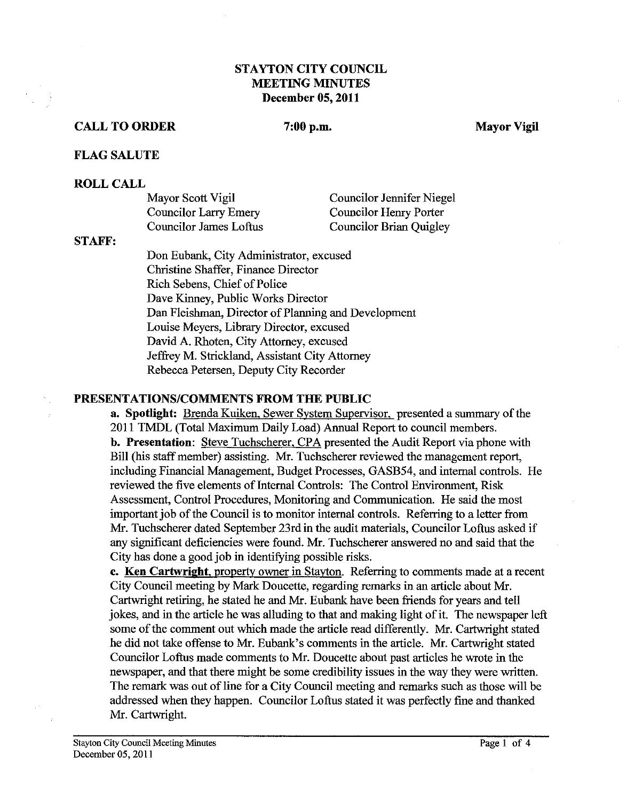# **STAYTON CITY COUNCIL MEETING MINUTES December 05,2011**

#### **CALL TO ORDER** 7:00 p.m. Mayor Vigil

#### **FLAG SALUTE**

#### **ROLL CALL**

| Mayor Scott Vigil      | Councilor Jennifer Niegel      |
|------------------------|--------------------------------|
| Councilor Larry Emery  | Councilor Henry Porter         |
| Councilor James Loftus | <b>Councilor Brian Quigley</b> |

**STAFF:** 

Don Eubank, City Administrator, excused Christine Shaffer, Finance Director Rich Sebens, Chief of Police Dave Kinney, Public Works Director Dan Fleishman, Director of Planning and Development Louise Meyers, Library Director, excused David A. Rhoten, City Attorney, excused Jeffrey M. Strickland, Assistant City Attorney Rebecca Petersen, Deputy City Recorder

#### **PRESENTATIONSICOMMENTS FROM THE PUBLIC**

**a. Spotlight:** Brenda Kuiken, Sewer Svstem Supervisor, presented a summary of the 2011 TMDL (Total Maximum Daily Load) Annual Report to council members. **b. Presentation:** Steve Tuchscherer, CPA presented the Audit Report via phone with Bill (his staff member) assisting. Mr. Tuchscherer reviewed the management report, including Financial Management, Budget Processes, GASB54, and internal controls. He reviewed the five elements of Internal Controls: The Control Environment, Risk Assessment, Control Procedures, Monitoring and Communication. He said the most important job of the Council is to monitor internal controls. Referring to a letter from Mr. Tuchscherer dated September 23rd in the audit materials, Councilor Loftus asked if any significant deficiencies were found. Mr. Tuchscherer answered no and said that the City has done a good job in identifying possible risks.

**c. Ken Cartwright,** property owner in Stayton. Referring to comments made at a recent City Council meeting by Mark Doucette, regarding remarks in an article about Mr. Cartwright retiring, he stated he and Mr. Eubank have been fiends for years and tell jokes, and in the article he was alluding to that and making light of it. The newspaper left some of the comment out which made the article read differently. Mr. Cartwright stated he did not take offense to Mr. Eubank's comments in the article. Mr. Cartwright stated Councilor Loftus made comments to Mr. Doucette about past articles he wrote in the newspaper, and that there might be some credibility issues in the way they were written. The remark was out of lime for a City Council meeting and remarks such as those will be addressed when they happen. Councilor Loftus stated it was perfectly fine and thanked Mr. Cartwright.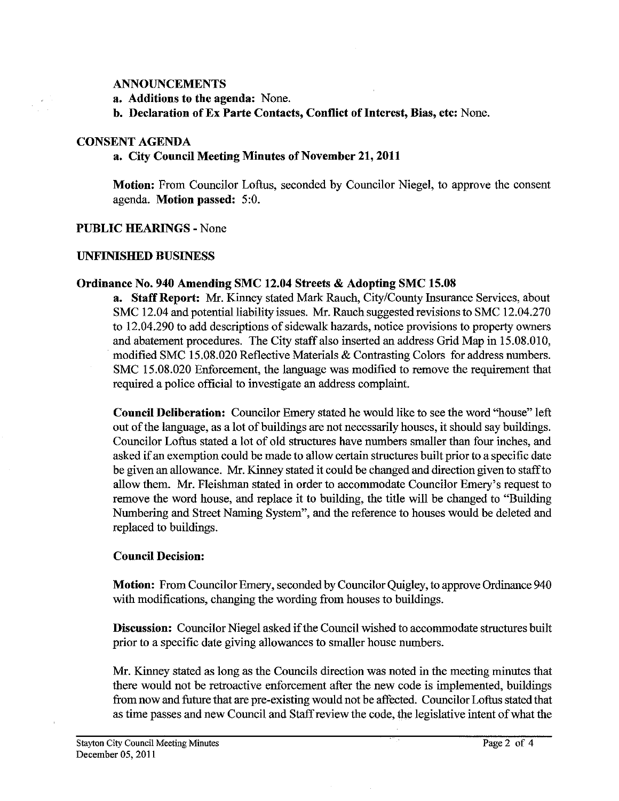#### **ANNOUNCEMENTS**

**a. Additions to the agenda:** None.

**b. Declaration of Ex Parte Contacts, Conflict of Interest, Bias, etc:** None.

#### **CONSENT AGENDA**

 $\frac{1}{2}$ 

# **a. City Council Meeting Miutes of November 21,2011**

**Motion:** From Councilor Loftus, seconded by Councilor Niegel, to approve the consent agenda. **Motion passed:** 5:O.

# **PUBLIC HEARINGS** - None

# **UNFNSHED BUSINESS**

# **Ordinance No. 940 Amending SMC 12.04 Streets** & **Adopting SMC 15.08**

**a. Staff Report:** Mr. Kinney stated Mark Rauch, City/County Insurance Services, about SMC 12.04 and potential liability issues. Mr. Rauch suggested revisions to SMC 12.04.270 to 12.04.290 to add descriptions of sidewalk hazards, notice provisions to property owners and abatement procedures. The City staff also inserted an address Grid Map in 15.08.010, modified SMC 15.08.020 Reflective Materials & Contrasting Colors for address numbers. SMC 15.08.020 Enforcement, the language was modified to remove the requirement that required a police official to investigate an address complaint.

**Council Deliberation:** Councilor Emery stated he would like to see the word "house" left out of the language, as a lot of buildings are not necessarily houses, it should say buildings. Councilor Loftus stated a lot of old structures have numbers smaller than four inches, and asked if an exemption could be made to allow certain structures built prior to a specific date be given an allowance. Mr. Kinney stated it could be changed and direction given to staff to allow them. Mr. Fleishman stated in order to accommodate Councilor Emery's request to remove the word house, and replace it to building, the title will be changed to "Building Numbering and Street Naming System", and the reference to houses would be deleted and replaced to buildings.

# **Council Decision:**

**Motion:** From Councilor Emery, seconded by Councilor Quigley, to approve Ordinance 940 with modifications, changing the wording from houses to buildings.

**Discussion:** Councilor Niegel asked if the Council wished to accommodate structures built prior to a specific date giving allowances to smaller house numbers.

Mr. Kinney stated as long as the Councils direction was noted in the meeting minutes that there would not be retroactive enforcement after the new code is implemented, buildings fiom now and future that are pre-existing would not be affected. Councilor Loftus stated that as time passes and new Council and Staff review the code, the legislative intent of what the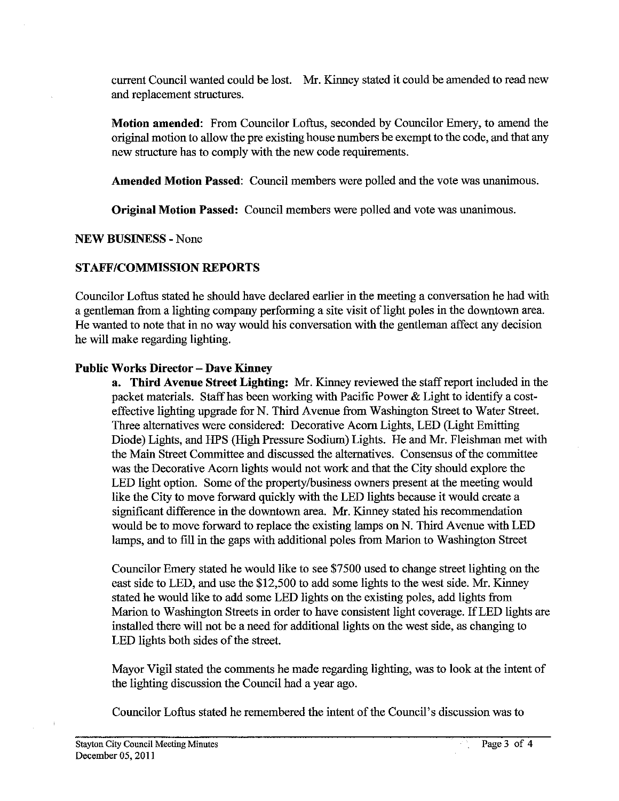current Council wanted could be lost. Mr. Kinney stated it could be amended to read new and replacement structures.

**Motion amended:** From Councilor Loftus, seconded by Councilor Emery, to amend the original motion to allow the pre existing house numbers be exempt to the code, **and** that any new structure has to comply with the new code requirements.

**Amended Motion Passed:** Council members were polled and the vote was unanimous.

**Original Motion Passed:** Council members were polled and vote was unanimous.

**NEW BUSINESS** - None

# **STAFFICOMMISSION REPORTS**

Councilor Loftus stated he should have declared earlier in the meeting a conversation he had with a gentleman from a lighting company performing a site visit of light poles in the downtown area. He wanted to note that in no way would his conversation with the gentleman affect any decision he will make regarding lighting.

# **Public Works Director** - **Dave Kinney**

**a. Third Avenue Street Lighting: Mr.** Kinney reviewed the staff report included in the packet materials. Staff has been working with Pacific Power & Light to identify a costeffective lighting upgrade for N. Third Avenue from Washington Street to Water Street. Three alternatives were considered: Decorative Acorn Lights, LED (Light Emitting Diode) Lights, and HPS (High Pressure Sodium) Lights. He and Mr. Fleishman met with the Main Street Committee and discussed the alternatives. Consensus of the committee was the Decorative Acorn lights would not work and that the City should explore the LED light option. Some of the property/business owners present at the meeting would like the City to move forward quickly with the LED lights because it would create a significant difference in the downtown area. Mr. Kinney stated his recommendation would be to move forward to replace the existing lamps on N. Third Avenue with LED lamps, and to fill in the gaps with additional poles from Marion to Washington Street

Councilor Emery stated he would like to see \$7500 used to change street lighting on the east side to LED, and use the \$12,500 to add some lights to the west side. Mr. Kinney stated he would like to add some LED lights on the existing poles, add lights from Marion to Washington Streets in order to have consistent light coverage. If LED lights are installed there will not be a need for additional lights on the west side, as changing to LED lights both sides of the street.

Mayor Vigil stated the comments he made regarding lighting, was to look at the intent of the lighting discussion the Council had a year ago.

Councilor Loftus stated he remembered the intent of the Council's discussion was to